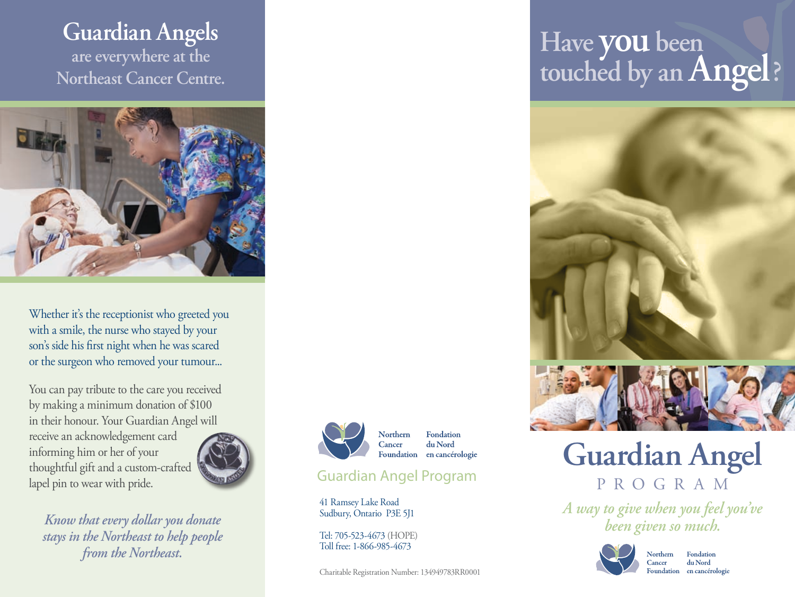## **Guardian Angels are everywhere at the Northeast Cancer Centre.**



Whether it's the receptionist who greeted you with a smile, the nurse who stayed by your son's side his first night when he was scared or the surgeon who removed your tumour...

You can pay tribute to the care you received by making a minimum donation of \$100 in their honour. Your Guardian Angel will

receive an acknowledgement card informing him or her of your thoughtful gift and a custom-crafted lapel pin to wear with pride.



*Know that every dollar you donate stays in the Northeast to help people from the Northeast.*



Fondation **Northern** du Nord Foundation en cancérologie

### Guardian Angel Program

Cancer

41 Ramsey Lake Road Sudbury, Ontario P3E 5J1

Tel: 705-523-4673 (HOPE) Toll free: 1-866-985-4673

Charitable Registration Number: 134949783RR0001

# **Have you been touched by an Angel?**



# **Guardian Angel** PROGRAM

*A way to give when you feel you've been given so much.*

Cancer



Northern Fondation du Nord Foundation en cancérologie